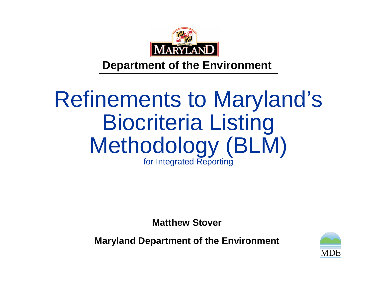

#### **Department of the Environment**

#### Refinements to Maryland's Biocriteria Listing Methodology (BLM) for Integrated Reporting

**Matthew Stover**

**Maryland Department of the Environment**

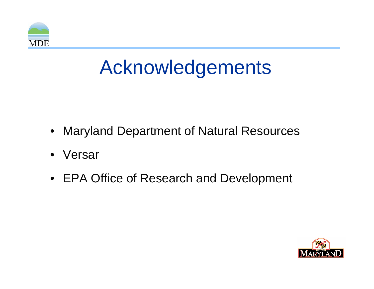

## Acknowledgements

- •Maryland Department of Natural Resources
- •Versar
- EPA Office of Research and Development

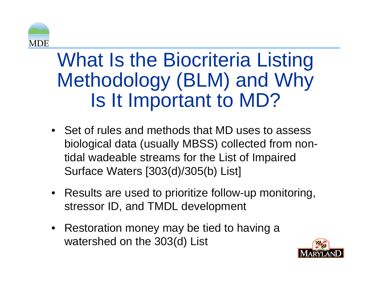

#### What Is the Biocriteria Listing Methodology (BLM) and Why Is It Important to MD?

- Set of rules and methods that MD uses to assess biological data (usually MBSS) collected from nontidal wadeable streams for the List of Impaired Surface Waters [303(d)/305(b) List]
- Results are used to prioritize follow-up monitoring, stressor ID, and TMDL development
- Restoration money may be tied to having a watershed on the 303(d) List

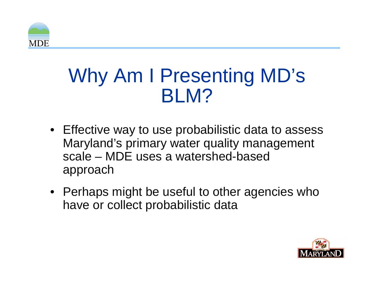

#### Why Am I Presenting MD's BLM?

- Effective way to use probabilistic data to assess Maryland's primary water quality management scale – MDE uses a watershed-based approach
- Perhaps might be useful to other agencies who have or collect probabilistic data

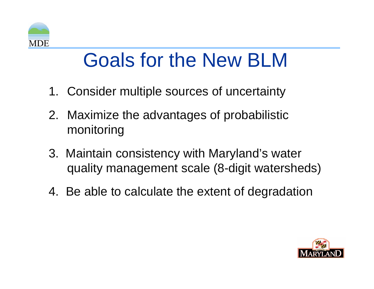

### Goals for the New BLM

- 1. Consider multiple sources of uncertainty
- 2. Maximize the advantages of probabilistic monitoring
- 3. Maintain consistency with Maryland's water quality management scale (8-digit watersheds)
- 4. Be able to calculate the extent of degradation

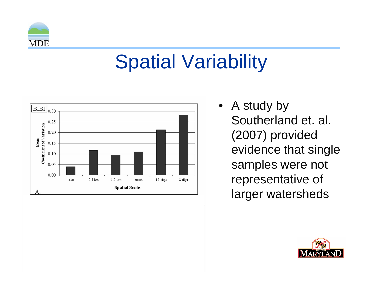

## Spatial Variability

•



 A study by Southerland et. al. (2007) provided evidence that single samples were not representative of larger watersheds

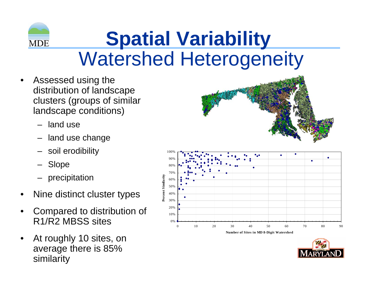

### **Spatial Variability** Watershed Heterogeneity

- • Assessed using the distribution of landscape clusters (groups of similar landscape conditions)
	- –land use
	- land use change
	- –soil erodibility
	- Slope
	- –precipitation
- •Nine distinct cluster types
- • Compared to distribution of R1/R2 MBSS sites
- • At roughly 10 sites, on average there is 85% similarity





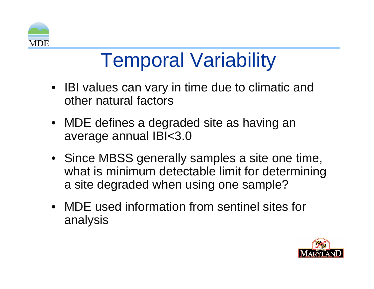

### Temporal Variability

- IBI values can vary in time due to climatic and other natural factors
- MDE defines a degraded site as having an average annual IBI<3.0
- Since MBSS generally samples a site one time, what is minimum detectable limit for determining a site degraded when using one sample?
- MDE used information from sentinel sites for analysis

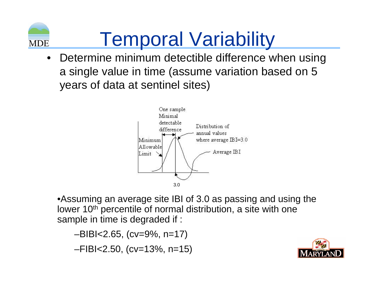

# Temporal Variability

 $\bullet$  Determine minimum detectible difference when using a single value in time (assume variation based on 5 years of data at sentinel sites)



•Assuming an average site IBI of 3.0 as passing and using the lower 10<sup>th</sup> percentile of normal distribution, a site with one sample in time is degraded if :

–BIBI<2.65, (cv=9%, n=17) –FIBI<2.50, (cv=13%, n=15)

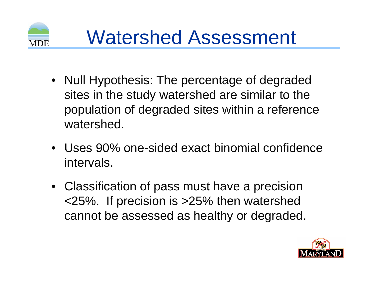

- $\bullet$  Null Hypothesis: The percentage of degraded sites in the study watershed are similar to the population of degraded sites within a reference watershed.
- Uses 90% one-sided exact binomial confidence intervals.
- Classification of pass must have a precision <25%. If precision is >25% then watershed cannot be assessed as healthy or degraded.

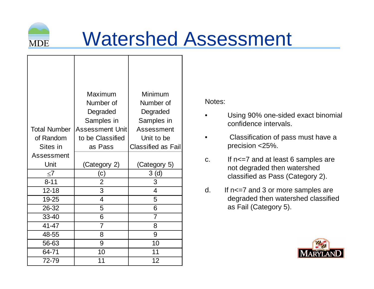

## Watershed Assessment

|                     | Maximum                | Minimum                   |  |  |  |
|---------------------|------------------------|---------------------------|--|--|--|
|                     | Number of<br>Number of |                           |  |  |  |
|                     | Degraded<br>Degraded   |                           |  |  |  |
|                     | Samples in             | Samples in                |  |  |  |
| <b>Total Number</b> | Assessment Unit        | Assessment                |  |  |  |
| of Random           | to be Classified       | Unit to be                |  |  |  |
| Sites in            | as Pass                | <b>Classified as Fail</b> |  |  |  |
| Assessment          |                        |                           |  |  |  |
| Unit                | (Category 2)           | (Category 5)              |  |  |  |
| $\leq 7$            | (c)                    | 3(d)                      |  |  |  |
| $8 - 11$            | $\overline{2}$         | 3                         |  |  |  |
| $12 - 18$           | 3                      | $\overline{4}$            |  |  |  |
| 19-25               | 4                      | 5                         |  |  |  |
| 26-32               | 5                      | 6                         |  |  |  |
| 33-40               | 6                      | 7                         |  |  |  |
| 41-47               | 7                      | 8                         |  |  |  |
| 48-55               | 8                      | 9                         |  |  |  |
| 56-63               | 9                      | 10                        |  |  |  |
| 64-71               | 10                     | 11                        |  |  |  |
| 72-79               | 11                     | 12                        |  |  |  |

Notes:

- • Using 90% one-sided exact binomial confidence intervals.
- • Classification of pass must have a precision <25%.
- c. If n<=7 and at least 6 samples are not degraded then watershed classified as Pass (Category 2).
- d. If n<=7 and 3 or more samples are degraded then watershed classified as Fail (Category 5).

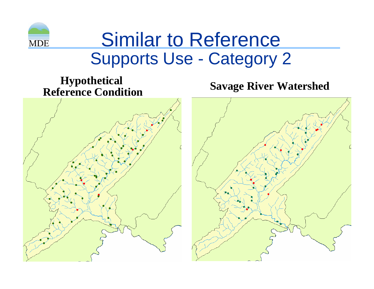

#### Similar to Reference Supports Use - Category 2

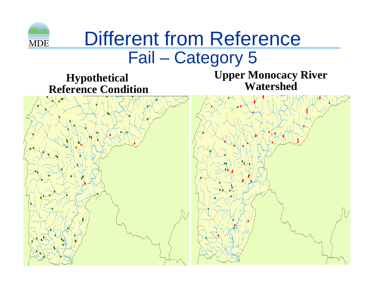

#### Different from Reference Fail – Category 5

**Hypothetical Reference Condition** **Upper Monocacy River Watershed**

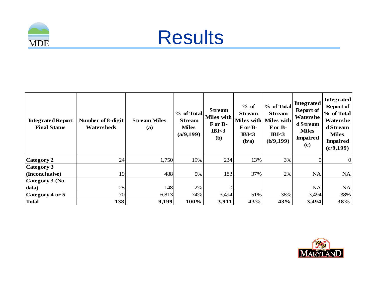



| <b>Integrated Report</b><br><b>Final Status</b> | Number of 8-digit<br><b>Watersheds</b> | <b>Stream Miles</b><br>(a) | % of Total<br><b>Stream</b><br><b>Miles</b><br>(a/9, 199) | <b>Stream</b><br>Miles with<br>For B-<br>IBK3<br><b>(b)</b> | $%$ of<br><b>Stream</b><br>For B-<br>IBK3<br>(b/a) | % of Total<br><b>Stream</b><br>Miles with Miles with<br>For B-<br>B <sub>3</sub><br>(b/9, 199) | <b>Integrated</b><br><b>Report of</b><br>Watershe<br>d Stream<br><b>Miles</b><br><b>Impaired</b><br>(c) | <b>Integrated</b><br>Report of<br>% of Total<br>Watershe<br>d Stream<br><b>Miles</b><br><b>Impaired</b><br>(c/9, 199) |
|-------------------------------------------------|----------------------------------------|----------------------------|-----------------------------------------------------------|-------------------------------------------------------------|----------------------------------------------------|------------------------------------------------------------------------------------------------|---------------------------------------------------------------------------------------------------------|-----------------------------------------------------------------------------------------------------------------------|
| Category 2                                      | 24                                     | 1,750                      | 19%                                                       | 234                                                         | 13%                                                | 3%                                                                                             | $\Omega$                                                                                                | $\overline{0}$                                                                                                        |
| Category 3<br>  (Inconclusive)                  | 19                                     | 488                        | $5\%$                                                     | 183                                                         | 37%                                                | 2%                                                                                             | <b>NA</b>                                                                                               | NA                                                                                                                    |
| Category 3 (No                                  |                                        |                            |                                                           |                                                             |                                                    |                                                                                                |                                                                                                         |                                                                                                                       |
| data)                                           | 25                                     | 148                        | $2\%$                                                     | $\Omega$                                                    |                                                    |                                                                                                | <b>NA</b>                                                                                               | <b>NA</b>                                                                                                             |
| Category 4 or 5                                 | 70                                     | 6,813                      | 74%                                                       | 3,494                                                       | 51%                                                | 38%                                                                                            | 3,494                                                                                                   | 38%                                                                                                                   |
| Total                                           | 138                                    | 9,199                      | 100%                                                      | 3,911                                                       | 43%                                                | 43%                                                                                            | 3,494                                                                                                   | 38%                                                                                                                   |

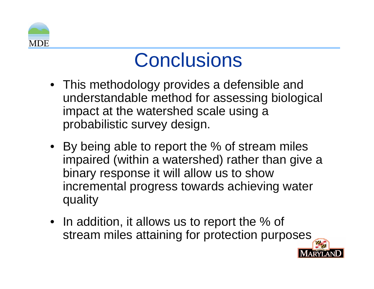

#### **Conclusions**

- This methodology provides a defensible and understandable method for assessing biological impact at the watershed scale using a probabilistic survey design.
- By being able to report the % of stream miles impaired (within a watershed) rather than give a binary response it will allow us to show incremental progress towards achieving water quality
- $\bullet~$  In addition, it allows us to report the % of stream miles attaining for protection purposes